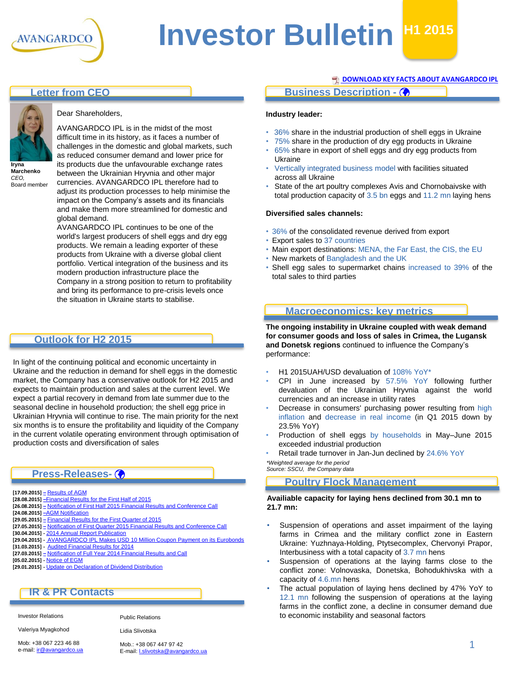

# **Investor Bulletin H1 2015**

## **Letter from CEO**



**Iryna Marchenko** *CEO,* Board member

#### Dear Shareholders,

AVANGARDCO IPL is in the midst of the most difficult time in its history, as it faces a number of challenges in the domestic and global markets, such as reduced consumer demand and lower price for its products due the unfavourable exchange rates between the Ukrainian Hryvnia and other major currencies. AVANGARDCO IPL therefore had to adjust its production processes to help minimise the impact on the Company's assets and its financials and make them more streamlined for domestic and global demand.

AVANGARDCO IPL continues to be one of the world's largest producers of shell eggs and dry egg products. We remain a leading exporter of these products from Ukraine with a diverse global client portfolio. Vertical integration of the business and its modern production infrastructure place the Company in a strong position to return to profitability and bring its performance to pre-crisis levels once the situation in Ukraine starts to stabilise.

## **Outlook for H2 2015**

In light of the continuing political and economic uncertainty in Ukraine and the reduction in demand for shell eggs in the domestic market, the Company has a conservative outlook for H2 2015 and expects to maintain production and sales at the current level. We expect a partial recovery in demand from late summer due to the seasonal decline in household production; the shell egg price in Ukrainian Hryvnia will continue to rise. The main priority for the next six months is to ensure the profitability and liquidity of the Company in the current volatile operating environment through optimisation of production costs and diversification of sales

### **Press-Releases-**

- **[17.09.2015] [–](http://avangard.co.ua/eng/press-centre/press-releases/e/year/2015/id/301/news_next/1/)** [Results of AGM](http://avangard.co.ua/eng/press-centre/press-releases/e/year/2015/id/310/news_next/1/)
- **[28.08.2015] –**[Financial Results for the First Half of 2015](http://avangard.co.ua/eng/press-centre/press-releases/e/year/2015/id/306/news_next/1/)
- **[26.08.2015] [–](http://avangard.co.ua/eng/press-centre/press-releases/e/year/2015/id/301/news_next/1/)** [Notification of First Half 2015 Financial Results and Conference Call](http://avangard.co.ua/eng/press-centre/press-releases/e/year/2015/id/305/news_next/1/)
- **[24.08.2015] –**[AGM Notification](http://avangard.co.ua/eng/press-centre/press-releases/e/year/2015/id/304/news_next/1/)
- **[29.05.2015] [–](http://avangard.co.ua/eng/press-centre/press-releases/e/year/2015/id/301/news_next/1/)** [Financial Results for the First Quarter of 2015](http://avangard.co.ua/eng/press-centre/press-releases/e/year/2015/id/301/news_next/1/)
- **[27.05.2015] [–](http://avangard.co.ua/eng/press-centre/press-releases/e/year/2015/id/300/news_next/6/)** [Notification of First Quarter 2015 Financial Results and Conference Call](http://avangard.co.ua/eng/press-centre/press-releases/e/year/2015/id/300/news_next/6/)
- **[30.04.2015] -** [2014 Annual Report Publication](http://avangard.co.ua/eng/press-centre/press-releases/e/year/2015/id/298/news_next/6/)
- **[29.04.2015] -** [AVANGARDCO IPL Makes USD 10 Million Coupon Payment on its Eurobonds](http://avangard.co.ua/eng/press-centre/press-releases/e/year/2015/id/297/news_next/6/) **[31.03.2015] -** [Audited Financial Results for 2014](http://avangard.co.ua/eng/press-centre/press-releases/e/year/2015/id/296/news_next/6/)
- **[27.03.2015] [–](http://avangard.co.ua/eng/press-centre/press-releases/e/year/2015/id/295/news_next/6/)** [Notification of Full Year 2014 Financial Results and Call](http://avangard.co.ua/eng/press-centre/press-releases/e/year/2015/id/295/news_next/6/)
- **[05.02.2015] -** [Notice of EGM](http://avangard.co.ua/eng/press-centre/press-releases/e/year/2015/id/294/news_next/11/)
- **[29.01.2015] -** [Update on Declaration of Dividend Distribution](http://avangard.co.ua/eng/press-centre/press-releases/e/year/2015/id/293/news_next/11/)

## **IR & PR Contacts**

#### Investor Relations

Valeriya Myagkohod

Public Relations Lidia Slivotska

Mob: +38 067 223 46 88 e-mail: *[ir@avangardco.ua](mailto:ir@avangardco.ua)*  Mob.: +38 067 447 97 42 E-mail: [l.slivotska@avangardco.ua](mailto:l.slivotska@avangardco.ua)

#### **[DOWNLOAD KEY FACTS ABOUT AVANGARDCO IPL](http://www.avangard.co.ua/eng/for-investors/financial-overview/key_files/)**

## **Business Description -**

#### **Industry leader:**

- 36% share in the industrial production of shell eggs in Ukraine
- 75% share in the production of dry egg products in Ukraine
- 65% share in export of shell eggs and dry egg products from Ukraine
- Vertically integrated business model with facilities situated across all Ukraine
- State of the art poultry complexes Avis and Chornobaivske with total production capacity of 3.5 bn eggs and 11.2 mn laying hens

#### **Diversified sales channels:**

- 36% of the consolidated revenue derived from export
- Export sales to 37 countries
- Main export destinations: MENA, the Far East, the CIS, the EU
- New markets of Bangladesh and the UK
- Shell egg sales to supermarket chains increased to 39% of the total sales to third parties

## **Macroeconomics: key metrics**

**The ongoing instability in Ukraine coupled with weak demand for consumer goods and loss of sales in Crimea, the Lugansk and Donetsk regions** continued to influence the Company's performance:

- H1 2015UAH/USD devaluation of 108% YoY\*
- CPI in June increased by 57.5% YoY following further devaluation of the Ukrainian Hryvnia against the world currencies and an increase in utility rates
- Decrease in consumers' purchasing power resulting from high inflation and decrease in real income (in Q1 2015 down by 23.5% YoY)
- Production of shell eggs by households in May–June 2015 exceeded industrial production
- Retail trade turnover in Jan-Jun declined by 24.6% YoY

*Source: SSCU, the Company data \*Weighted average for the period*

#### **Poultry Flock Management**

#### **Availiable capacity for laying hens declined from 30.1 mn to 21.7 mn:**

- Suspension of operations and asset impairment of the laying farms in Crimea and the military conflict zone in Eastern Ukraine: Yuzhnaya-Holding, Ptytsecomplex, Chervonyi Prapor, Interbusiness with a total capacity of 3.7 mn hens
- Suspension of operations at the laying farms close to the conflict zone: Volnovaska, Donetska, Bohodukhivska with a capacity of 4.6.mn hens
- The actual population of laying hens declined by 47% YoY to 12.1 mn following the suspension of operations at the laying farms in the conflict zone, a decline in consumer demand due to economic instability and seasonal factors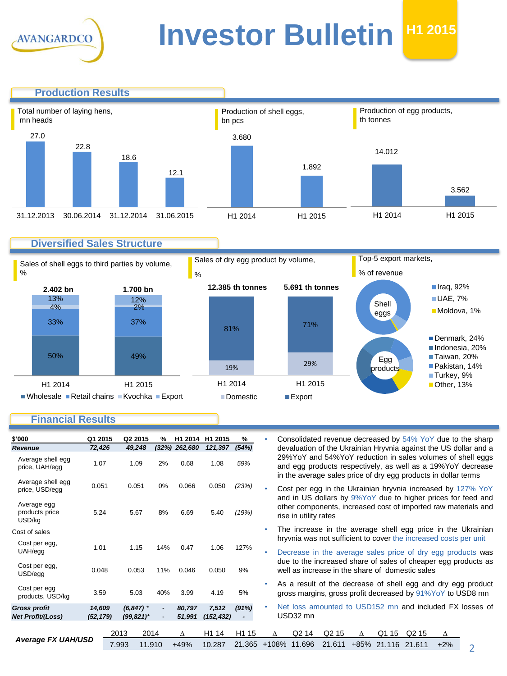

## **Investor Bulletin**  $H12015$

**Production Results** Production of shell eggs, bn pcs Production of egg products, th tonnes Total number of laying hens, mn heads 27.0 22.8 18.6 12.1 3.680 1.892 14.012

## **Diversified Sales Structure**

31.12.2013 30.06.2014 31.12.2014 31.06.2015

Sales of shell eggs to third parties by volume, %



Sales of dry egg product by volume,

H1 2014 H1 2015



3.562

H1 2014 H1 2015

Top-5 export markets,

## **Financial Results**

| \$'000                                          | Q1 2015             |               | Q2 2015<br>%                  | H1 2014          | H <sub>1</sub> 2015         | %                           |           |                                                                                                                                                         |                 |                             |   |                             |                   |                                                                  | Consolidated revenue decreased by 54% YoY due to the sharp                                                                  |
|-------------------------------------------------|---------------------|---------------|-------------------------------|------------------|-----------------------------|-----------------------------|-----------|---------------------------------------------------------------------------------------------------------------------------------------------------------|-----------------|-----------------------------|---|-----------------------------|-------------------|------------------------------------------------------------------|-----------------------------------------------------------------------------------------------------------------------------|
| Revenue                                         | 72,426              |               | 49,248<br>(32%)               | 262,680          | 121,397                     | (54%)                       |           | devaluation of the Ukrainian Hryvnia against the US dollar and a                                                                                        |                 |                             |   |                             |                   |                                                                  |                                                                                                                             |
| Average shell egg<br>price, UAH/egg             | 1.07                |               | 1.09<br>2%                    | 0.68             | 1.08                        | 59%                         |           |                                                                                                                                                         |                 |                             |   |                             |                   | in the average sales price of dry egg products in dollar terms   | 29%YoY and 54%YoY reduction in sales volumes of shell eggs<br>and egg products respectively, as well as a 19% Yo Y decrease |
| Average shell egg<br>price, USD/egg             | 0.051               |               | 0.051<br>0%                   | 0.066            | 0.050                       | (23%)                       | $\bullet$ | Cost per egg in the Ukrainian hryvnia increased by 127% YoY                                                                                             |                 |                             |   |                             |                   |                                                                  |                                                                                                                             |
| Average egg<br>products price<br>USD/kg         | 5.24                |               | 5.67<br>8%                    | 6.69             | 5.40                        | (19%)                       |           | and in US dollars by 9%YoY due to higher prices for feed and<br>other components, increased cost of imported raw materials and<br>rise in utility rates |                 |                             |   |                             |                   |                                                                  |                                                                                                                             |
| Cost of sales                                   |                     |               |                               |                  |                             |                             | $\bullet$ |                                                                                                                                                         |                 |                             |   |                             |                   |                                                                  | The increase in the average shell egg price in the Ukrainian                                                                |
| Cost per egg,                                   |                     |               |                               |                  |                             |                             |           |                                                                                                                                                         |                 |                             |   |                             |                   | hryvnia was not sufficient to cover the increased costs per unit |                                                                                                                             |
| UAH/egg                                         | 1.01                |               | 1.15<br>14%                   | 0.47             | 1.06                        | 127%                        | $\bullet$ |                                                                                                                                                         |                 |                             |   |                             |                   |                                                                  | Decrease in the average sales price of dry egg products was                                                                 |
| Cost per egg,<br>USD/egg                        | 0.048               |               | 0.053<br>11%                  | 0.046            | 0.050                       | 9%                          |           | due to the increased share of sales of cheaper egg products as<br>well as increase in the share of domestic sales                                       |                 |                             |   |                             |                   |                                                                  |                                                                                                                             |
| Cost per egg<br>products, USD/kg                | 3.59                |               | 5.03<br>40%                   | 3.99             | 4.19                        | 5%                          |           |                                                                                                                                                         |                 |                             |   |                             |                   |                                                                  | As a result of the decrease of shell egg and dry egg product<br>gross margins, gross profit decreased by 91%YoY to USD8 mn  |
| <b>Gross profit</b><br><b>Net Profit/(Loss)</b> | 14,609<br>(52, 179) |               | $(6, 847)$ *<br>$(99, 821)^*$ | 80.797<br>51,991 | 7,512<br>(152, 432)         | (91%)<br>$\blacksquare$     | ٠         |                                                                                                                                                         | USD32 mn        |                             |   |                             |                   |                                                                  | Net loss amounted to USD152 mn and included FX losses of                                                                    |
| <b>Average FX UAH/USD</b>                       |                     | 2013<br>7.993 | 2014<br>11.910                | Δ<br>$+49%$      | H <sub>1</sub> 14<br>10.287 | H <sub>1</sub> 15<br>21.365 |           | Л<br>$+108%$                                                                                                                                            | Q2 14<br>11.696 | Q <sub>2</sub> 15<br>21.611 | Δ | Q1 15<br>+85% 21.116 21.611 | Q <sub>2</sub> 15 | Δ<br>$+2%$                                                       |                                                                                                                             |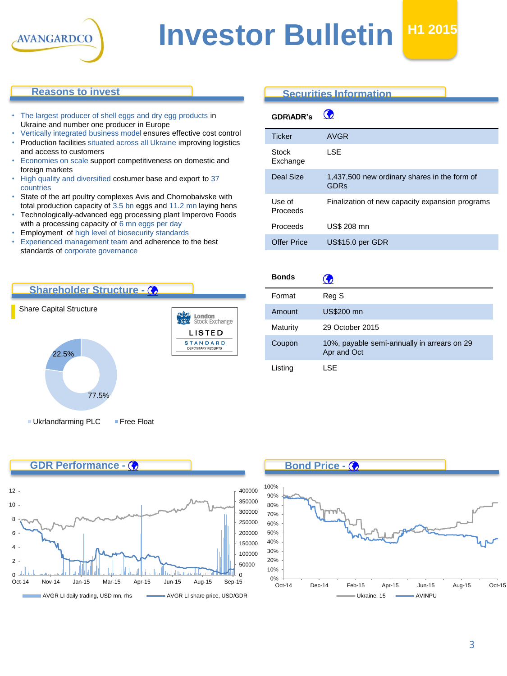

## **Investor Bulletin**

## **Reasons to invest**

- The largest producer of shell eggs and dry egg products in Ukraine and number one producer in Europe
- Vertically integrated business model ensures effective cost control • Production facilities situated across all Ukraine improving logistics and access to customers
- Economies on scale support competitiveness on domestic and foreign markets
- High quality and diversified costumer base and export to 37 countries
- State of the art poultry complexes Avis and Chornobaivske with total production capacity of 3.5 bn eggs and 11.2 mn laying hens
- Technologically-advanced egg processing plant Imperovo Foods with a processing capacity of 6 mn eggs per day
- Employment of high level of biosecurity standards
- Experienced management team and adherence to the best standards of corporate governance

## **Securities Information**

 $\bullet$ 

| <b>GDR\ADR's</b>   | w                                                           |
|--------------------|-------------------------------------------------------------|
| <b>Ticker</b>      | <b>AVGR</b>                                                 |
| Stock<br>Exchange  | LSE                                                         |
| <b>Deal Size</b>   | 1,437,500 new ordinary shares in the form of<br><b>GDRs</b> |
| Use of<br>Proceeds | Finalization of new capacity expansion programs             |
| Proceeds           | US\$ 208 mn                                                 |
| <b>Offer Price</b> | US\$15.0 per GDR                                            |



| <b>Bonds</b> | Ð                                                          |
|--------------|------------------------------------------------------------|
| Format       | Reg S                                                      |
| Amount       | <b>US\$200 mn</b>                                          |
| Maturity     | 29 October 2015                                            |
| Coupon       | 10%, payable semi-annually in arrears on 29<br>Apr and Oct |
| Listing      | I SE                                                       |